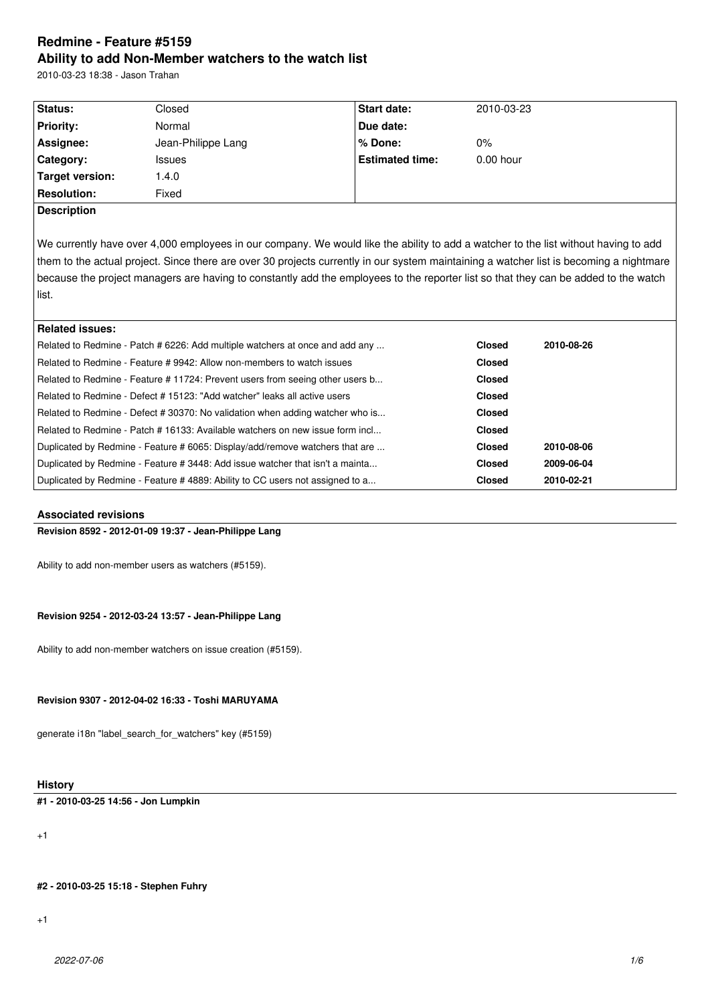# **Redmine - Feature #5159 Ability to add Non-Member watchers to the watch list**

2010-03-23 18:38 - Jason Trahan

| Status:            | Closed             | <b>Start date:</b>     | 2010-03-23  |
|--------------------|--------------------|------------------------|-------------|
| <b>Priority:</b>   | Normal             | Due date:              |             |
| Assignee:          | Jean-Philippe Lang | l% Done:               | $0\%$       |
| Category:          | <b>Issues</b>      | <b>Estimated time:</b> | $0.00$ hour |
| Target version:    | .4.0               |                        |             |
| <b>Resolution:</b> | Fixed              |                        |             |
| <b>Description</b> |                    |                        |             |

We currently have over 4,000 employees in our company. We would like the ability to add a watcher to the list without having to add them to the actual project. Since there are over 30 projects currently in our system maintaining a watcher list is becoming a nightmare because the project managers are having to constantly add the employees to the reporter list so that they can be added to the watch list.

| Related issues:                                                                 |               |            |
|---------------------------------------------------------------------------------|---------------|------------|
| Related to Redmine - Patch # 6226: Add multiple watchers at once and add any    | <b>Closed</b> | 2010-08-26 |
| Related to Redmine - Feature # 9942: Allow non-members to watch issues          |               |            |
| Related to Redmine - Feature # 11724: Prevent users from seeing other users b   |               |            |
| Related to Redmine - Defect # 15123: "Add watcher" leaks all active users       |               |            |
| Related to Redmine - Defect # 30370: No validation when adding watcher who is   | <b>Closed</b> |            |
| l Related to Redmine - Patch # 16133: Available watchers on new issue form incl | <b>Closed</b> |            |
| Duplicated by Redmine - Feature # 6065: Display/add/remove watchers that are    |               | 2010-08-06 |
| Duplicated by Redmine - Feature # 3448: Add issue watcher that isn't a mainta   |               | 2009-06-04 |
| Duplicated by Redmine - Feature # 4889: Ability to CC users not assigned to a   | <b>Closed</b> | 2010-02-21 |

# **Associated revisions**

**Revision 8592 - 2012-01-09 19:37 - Jean-Philippe Lang**

Ability to add non-member users as watchers (#5159).

### **Revision 9254 - 2012-03-24 13:57 - Jean-Philippe Lang**

Ability to add non-member watchers on issue creation (#5159).

## **Revision 9307 - 2012-04-02 16:33 - Toshi MARUYAMA**

generate i18n "label\_search\_for\_watchers" key (#5159)

# **History**

**#1 - 2010-03-25 14:56 - Jon Lumpkin**

+1

**#2 - 2010-03-25 15:18 - Stephen Fuhry**

+1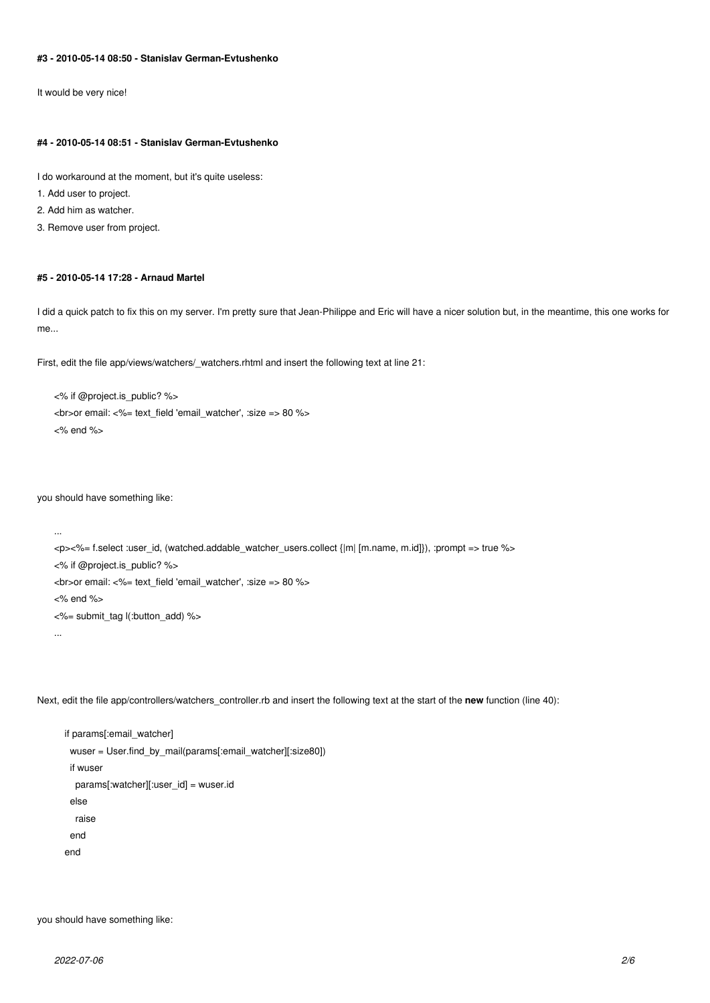### **#3 - 2010-05-14 08:50 - Stanislav German-Evtushenko**

It would be very nice!

#### **#4 - 2010-05-14 08:51 - Stanislav German-Evtushenko**

I do workaround at the moment, but it's quite useless:

1. Add user to project.

2. Add him as watcher.

3. Remove user from project.

#### **#5 - 2010-05-14 17:28 - Arnaud Martel**

I did a quick patch to fix this on my server. I'm pretty sure that Jean-Philippe and Eric will have a nicer solution but, in the meantime, this one works for me...

First, edit the file app/views/watchers/\_watchers.rhtml and insert the following text at line 21:

```
<% if @project.is_public? %>
<br>or email: <%= text_field 'email_watcher', :size => 80 %>
<% end %>
```
you should have something like:

```
...
<p><%= f.select :user_id, (watched.addable_watcher_users.collect {|m| [m.name, m.id]}), :prompt => true %>
<% if @project.is_public? %>
<br>or email: <%= text_field 'email_watcher', :size => 80 %>
<% end %>
<%= submit_tag l(:button_add) %>
```
...

Next, edit the file app/controllers/watchers\_controller.rb and insert the following text at the start of the **new** function (line 40):

 if params[:email\_watcher] wuser = User.find\_by\_mail(params[:email\_watcher][:size80]) if wuser params[:watcher][:user\_id] = wuser.id else raise end end

you should have something like: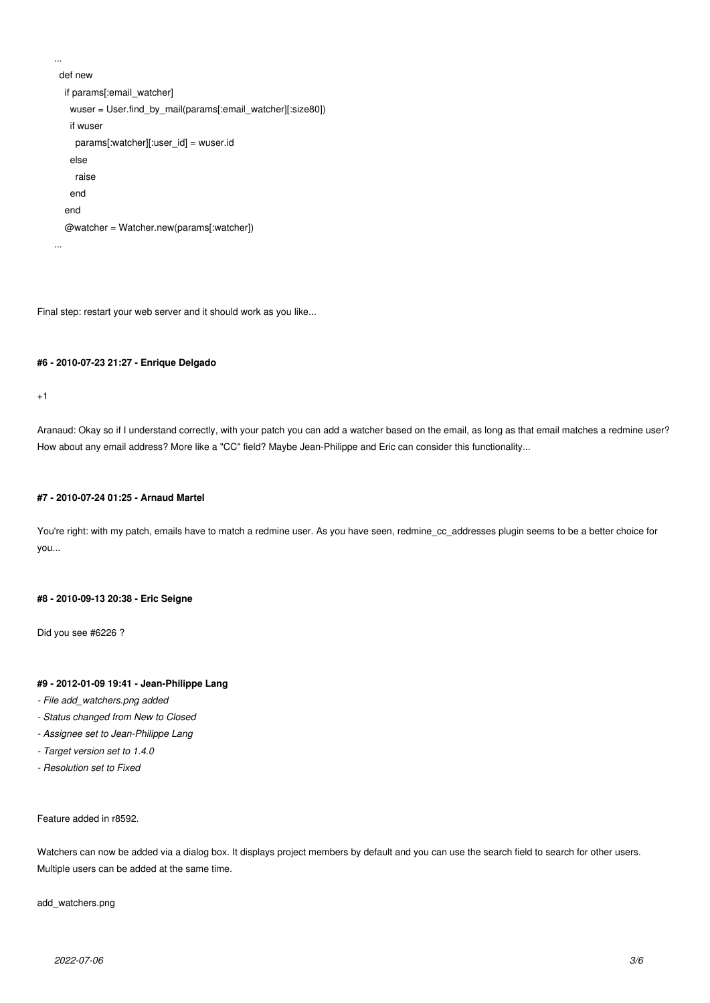```
 def new
   if params[:email_watcher]
    wuser = User.find_by_mail(params[:email_watcher][:size80])
    if wuser
     params[:watcher][:user_id] = wuser.id
    else
     raise
    end
   end
   @watcher = Watcher.new(params[:watcher])
...
```
Final step: restart your web server and it should work as you like...

# **#6 - 2010-07-23 21:27 - Enrique Delgado**

 $+1$ 

...

Aranaud: Okay so if I understand correctly, with your patch you can add a watcher based on the email, as long as that email matches a redmine user? How about any email address? More like a "CC" field? Maybe Jean-Philippe and Eric can consider this functionality...

### **#7 - 2010-07-24 01:25 - Arnaud Martel**

You're right: with my patch, emails have to match a redmine user. As you have seen, redmine\_cc\_addresses plugin seems to be a better choice for you...

### **#8 - 2010-09-13 20:38 - Eric Seigne**

Did you see #6226 ?

# **#9 - 2012-01-09 19:41 - Jean-Philippe Lang**

- *File add\_watchers.png added*
- *Status changed from New to Closed*
- *Assignee set to Jean-Philippe Lang*
- *Target version set to 1.4.0*
- *Resolution set to Fixed*

Feature added in r8592.

Watchers can now be added via a dialog box. It displays project members by default and you can use the search field to search for other users. Multiple users can be added at the same time.

add\_watchers.png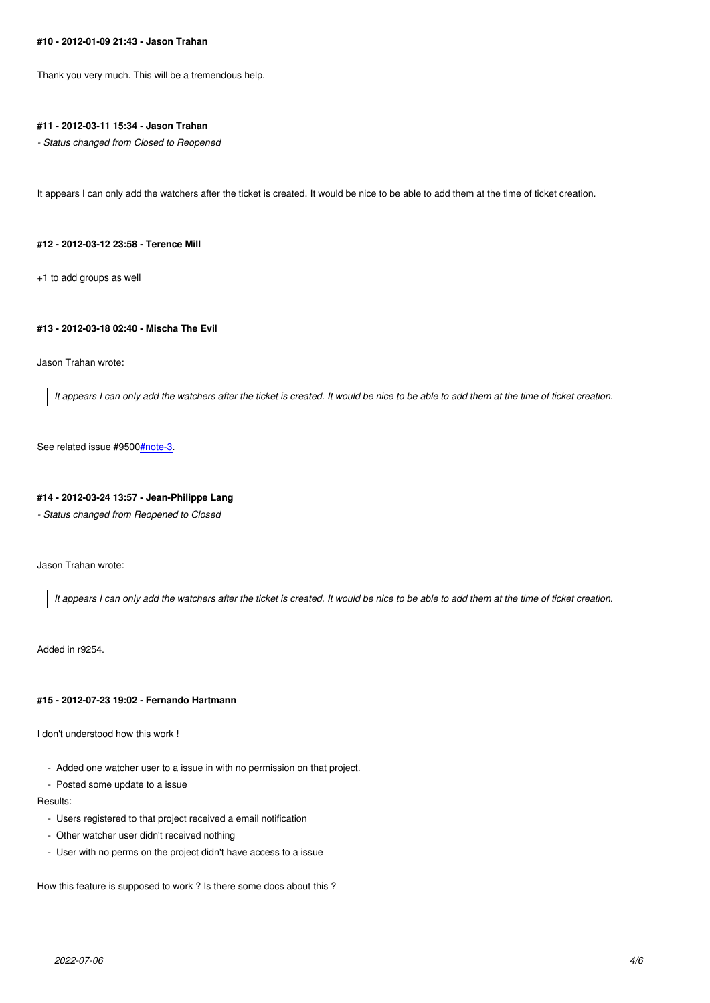Thank you very much. This will be a tremendous help.

### **#11 - 2012-03-11 15:34 - Jason Trahan**

*- Status changed from Closed to Reopened*

It appears I can only add the watchers after the ticket is created. It would be nice to be able to add them at the time of ticket creation.

#### **#12 - 2012-03-12 23:58 - Terence Mill**

+1 to add groups as well

# **#13 - 2012-03-18 02:40 - Mischa The Evil**

Jason Trahan wrote:

*It appears I can only add the watchers after the ticket is created. It would be nice to be able to add them at the time of ticket creation.*

See related issue #9500#note-3.

### **#14 - 2012-03-24 13:57 - Jean-Philippe Lang**

*- Status changed from [Reopened](/issues/9500#note-3) to Closed*

Jason Trahan wrote:

*It appears I can only add the watchers after the ticket is created. It would be nice to be able to add them at the time of ticket creation.*

Added in r9254.

#### **#15 - 2012-07-23 19:02 - Fernando Hartmann**

I don't understood how this work !

- Added one watcher user to a issue in with no permission on that project.

- Posted some update to a issue

Results:

- Users registered to that project received a email notification
- Other watcher user didn't received nothing
- User with no perms on the project didn't have access to a issue

How this feature is supposed to work ? Is there some docs about this ?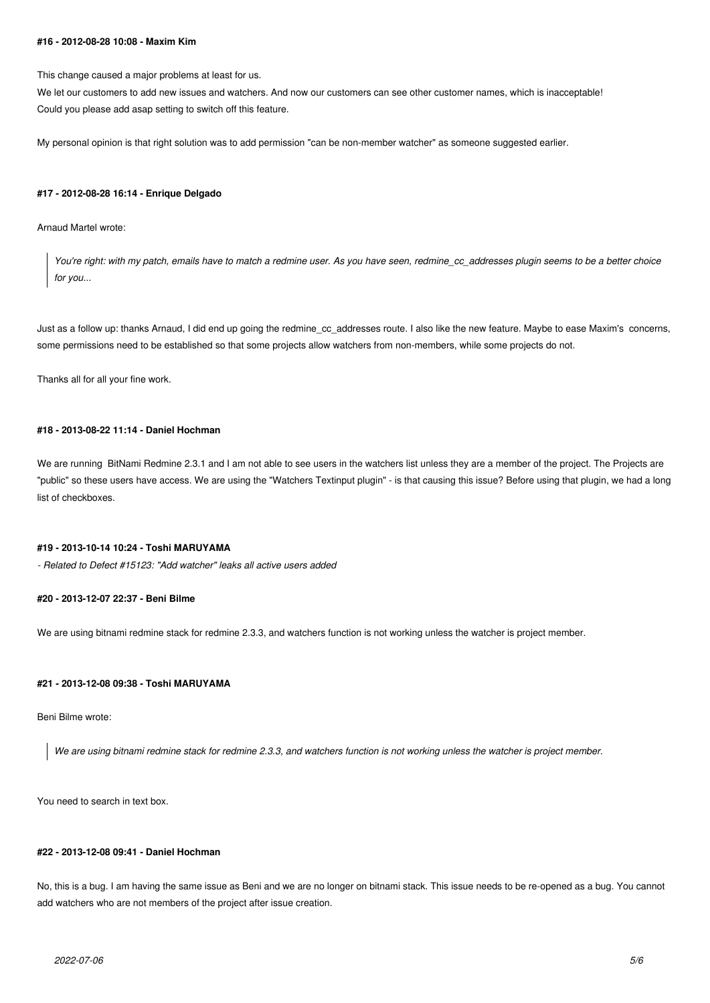#### **#16 - 2012-08-28 10:08 - Maxim Kim**

This change caused a major problems at least for us.

We let our customers to add new issues and watchers. And now our customers can see other customer names, which is inacceptable! Could you please add asap setting to switch off this feature.

My personal opinion is that right solution was to add permission "can be non-member watcher" as someone suggested earlier.

#### **#17 - 2012-08-28 16:14 - Enrique Delgado**

#### Arnaud Martel wrote:

*You're right: with my patch, emails have to match a redmine user. As you have seen, redmine\_cc\_addresses plugin seems to be a better choice for you...*

Just as a follow up: thanks Arnaud, I did end up going the redmine\_cc\_addresses route. I also like the new feature. Maybe to ease Maxim's concerns, some permissions need to be established so that some projects allow watchers from non-members, while some projects do not.

Thanks all for all your fine work.

# **#18 - 2013-08-22 11:14 - Daniel Hochman**

We are running BitNami Redmine 2.3.1 and I am not able to see users in the watchers list unless they are a member of the project. The Projects are "public" so these users have access. We are using the "Watchers Textinput plugin" - is that causing this issue? Before using that plugin, we had a long list of checkboxes.

### **#19 - 2013-10-14 10:24 - Toshi MARUYAMA**

*- Related to Defect #15123: "Add watcher" leaks all active users added*

### **#20 - 2013-12-07 22:37 - Beni Bilme**

We are using bitnami redmine stack for redmine 2.3.3, and watchers function is not working unless the watcher is project member.

### **#21 - 2013-12-08 09:38 - Toshi MARUYAMA**

#### Beni Bilme wrote:

*We are using bitnami redmine stack for redmine 2.3.3, and watchers function is not working unless the watcher is project member.*

You need to search in text box.

# **#22 - 2013-12-08 09:41 - Daniel Hochman**

No, this is a bug. I am having the same issue as Beni and we are no longer on bitnami stack. This issue needs to be re-opened as a bug. You cannot add watchers who are not members of the project after issue creation.